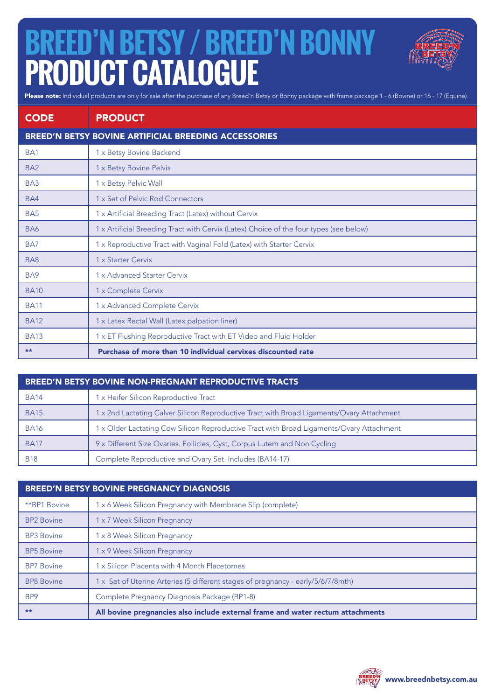## **BREED'N BETSY / BREED'N BONNY PRODUCT CATALOGUE**



Please note: Individual products are only for sale after the purchase of any Breed'n Betsy or Bonny package with frame package 1 - 6 (Bovine) or 16 - 17 (Equine).

| <b>CODE</b>                                          | <b>PRODUCT</b>                                                                         |
|------------------------------------------------------|----------------------------------------------------------------------------------------|
| BREED'N BETSY BOVINE ARTIFICIAL BREEDING ACCESSORIES |                                                                                        |
| BA <sub>1</sub>                                      | 1 x Betsy Bovine Backend                                                               |
| BA <sub>2</sub>                                      | 1 x Betsy Bovine Pelvis                                                                |
| BA <sub>3</sub>                                      | 1 x Betsy Pelvic Wall                                                                  |
| BA4                                                  | 1 x Set of Pelvic Rod Connectors                                                       |
| BA <sub>5</sub>                                      | 1 x Artificial Breeding Tract (Latex) without Cervix                                   |
| BA6                                                  | 1 x Artificial Breeding Tract with Cervix (Latex) Choice of the four types (see below) |
| BA7                                                  | 1 x Reproductive Tract with Vaginal Fold (Latex) with Starter Cervix                   |
| BA <sub>8</sub>                                      | 1 x Starter Cervix                                                                     |
| BA9                                                  | 1 x Advanced Starter Cervix                                                            |
| <b>BA10</b>                                          | 1 x Complete Cervix                                                                    |
| <b>BA11</b>                                          | 1 x Advanced Complete Cervix                                                           |
| <b>BA12</b>                                          | 1 x Latex Rectal Wall (Latex palpation liner)                                          |
| <b>BA13</b>                                          | 1 x ET Flushing Reproductive Tract with ET Video and Fluid Holder                      |
| **                                                   | Purchase of more than 10 individual cervixes discounted rate                           |

| <b>BREED'N BETSY BOVINE NON-PREGNANT REPRODUCTIVE TRACTS</b> |                                                                                           |  |
|--------------------------------------------------------------|-------------------------------------------------------------------------------------------|--|
| <b>BA14</b>                                                  | 1 x Heifer Silicon Reproductive Tract                                                     |  |
| <b>BA15</b>                                                  | 1 x 2nd Lactating Calver Silicon Reproductive Tract with Broad Ligaments/Ovary Attachment |  |
| <b>BA16</b>                                                  | 1 x Older Lactating Cow Silicon Reproductive Tract with Broad Ligaments/Ovary Attachment  |  |
| <b>BA17</b>                                                  | 9 x Different Size Ovaries. Follicles, Cyst, Corpus Lutem and Non Cycling                 |  |
| <b>B18</b>                                                   | Complete Reproductive and Ovary Set. Includes (BA14-17)                                   |  |

| BREED'N BETSY BOVINE PREGNANCY DIAGNOSIS |                                                                                  |  |
|------------------------------------------|----------------------------------------------------------------------------------|--|
| **BP1 Bovine                             | 1 x 6 Week Silicon Pregnancy with Membrane Slip (complete)                       |  |
| <b>BP2 Bovine</b>                        | 1 x 7 Week Silicon Pregnancy                                                     |  |
| <b>BP3</b> Bovine                        | x 8 Week Silicon Pregnancy                                                       |  |
| <b>BP5</b> Bovine                        | 1 x 9 Week Silicon Pregnancy                                                     |  |
| <b>BP7</b> Bovine                        | x Silicon Placenta with 4 Month Placetomes                                       |  |
| <b>BP8</b> Bovine                        | 1 x Set of Uterine Arteries (5 different stages of pregnancy - early/5/6/7/8mth) |  |
| BP <sub>9</sub>                          | Complete Pregnancy Diagnosis Package (BP1-8)                                     |  |
| **                                       | All bovine pregnancies also include external frame and water rectum attachments  |  |

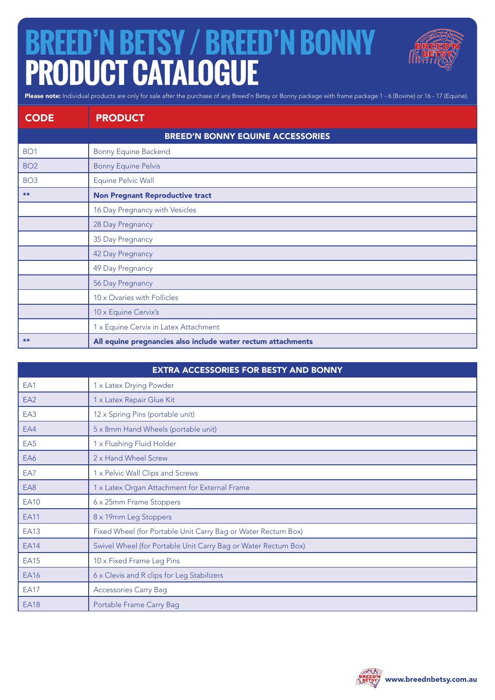## **BREED'N BETSY / BREED'N BONNY PRODUCT CATALOGUE**



Please note: Individual products are only for sale after the purchase of any Breed'n Betsy or Bonny package with frame package 1 - 6 (Bovine) or 16 - 17 (Equine).

| <b>CODE</b>     | <b>PRODUCT</b>                                               |
|-----------------|--------------------------------------------------------------|
|                 | <b>BREED'N BONNY EQUINE ACCESSORIES</b>                      |
| BO <sub>1</sub> | <b>Bonny Equine Backend</b>                                  |
| BO <sub>2</sub> | <b>Bonny Equine Pelvis</b>                                   |
| BO <sub>3</sub> | Equine Pelvic Wall                                           |
| **              | <b>Non Pregnant Reproductive tract</b>                       |
|                 | 16 Day Pregnancy with Vesicles                               |
|                 | 28 Day Pregnancy                                             |
|                 | 35 Day Pregnancy                                             |
|                 | 42 Day Pregnancy                                             |
|                 | 49 Day Pregnancy                                             |
|                 | 56 Day Pregnancy                                             |
|                 | 10 x Ovaries with Follicles                                  |
|                 | 10 x Equine Cervix's                                         |
|                 | 1 x Equine Cervix in Latex Attachment                        |
| **              | All equine pregnancies also include water rectum attachments |

| <b>EXTRA ACCESSORIES FOR BESTY AND BONNY</b> |                                                                |  |
|----------------------------------------------|----------------------------------------------------------------|--|
| EA1                                          | 1 x Latex Drying Powder                                        |  |
| EA <sub>2</sub>                              | 1 x Latex Repair Glue Kit                                      |  |
| EA3                                          | 12 x Spring Pins (portable unit)                               |  |
| EA4                                          | 5 x 8mm Hand Wheels (portable unit)                            |  |
| EA <sub>5</sub>                              | 1 x Flushing Fluid Holder                                      |  |
| EA6                                          | 2 x Hand Wheel Screw                                           |  |
| EA7                                          | 1 x Pelvic Wall Clips and Screws                               |  |
| EA8                                          | 1 x Latex Organ Attachment for External Frame                  |  |
| <b>EA10</b>                                  | 6 x 25mm Frame Stoppers                                        |  |
| <b>EA11</b>                                  | 8 x 19mm Leg Stoppers                                          |  |
| <b>EA13</b>                                  | Fixed Wheel (for Portable Unit Carry Bag or Water Rectum Box)  |  |
| <b>EA14</b>                                  | Swivel Wheel (for Portable Unit Carry Bag or Water Rectum Box) |  |
| <b>EA15</b>                                  | 10 x Fixed Frame Leg Pins                                      |  |
| EA16                                         | 6 x Clevis and R clips for Leg Stabilizers                     |  |
| <b>EA17</b>                                  | <b>Accessories Carry Bag</b>                                   |  |
| <b>EA18</b>                                  | Portable Frame Carry Bag                                       |  |